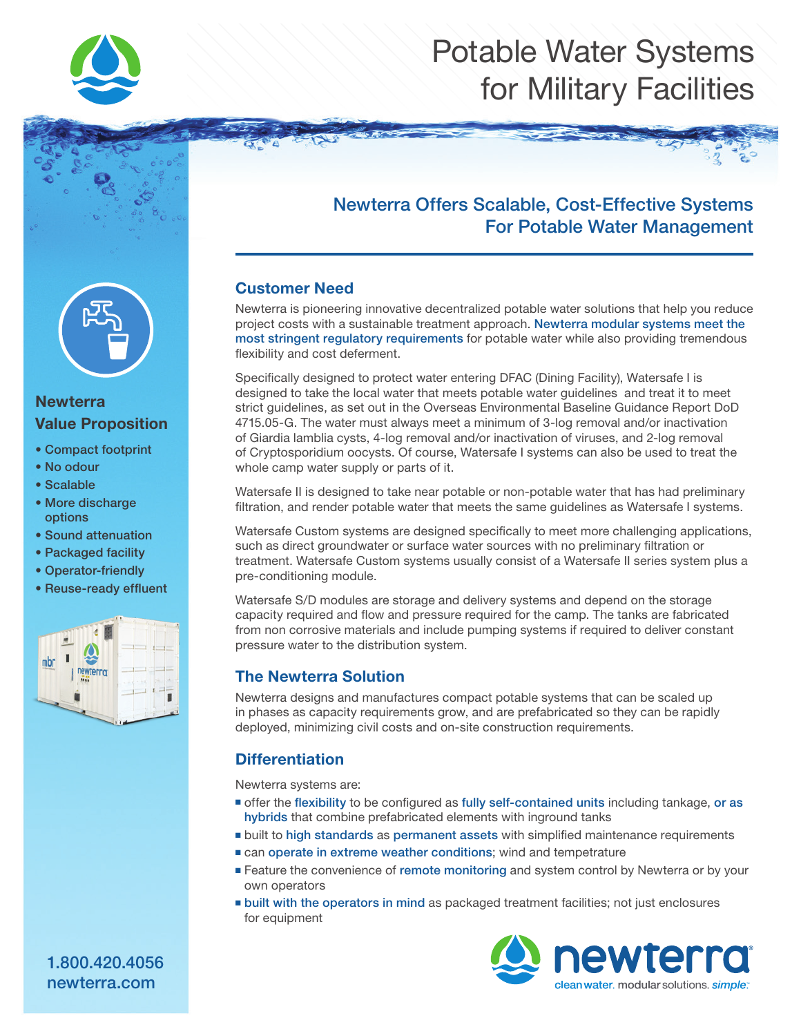

# Potable Water Systems for Military Facilities



### **Newterra** Value Proposition

- Compact footprint
- No odour
- Scalable
- More discharge options
- Sound attenuation
- Packaged facility
- Operator-friendly
- Reuse-ready effluent



## Newterra Offers Scalable, Cost-Effective Systems For Potable Water Management

#### Customer Need

Newterra is pioneering innovative decentralized potable water solutions that help you reduce project costs with a sustainable treatment approach. Newterra modular systems meet the most stringent regulatory requirements for potable water while also providing tremendous flexibility and cost deferment.

Specifically designed to protect water entering DFAC (Dining Facility), Watersafe I is designed to take the local water that meets potable water guidelines and treat it to meet strict guidelines, as set out in the Overseas Environmental Baseline Guidance Report DoD 4715.05-G. The water must always meet a minimum of 3-log removal and/or inactivation of Giardia lamblia cysts, 4-log removal and/or inactivation of viruses, and 2-log removal of Cryptosporidium oocysts. Of course, Watersafe I systems can also be used to treat the whole camp water supply or parts of it.

Watersafe II is designed to take near potable or non-potable water that has had preliminary filtration, and render potable water that meets the same guidelines as Watersafe I systems.

Watersafe Custom systems are designed specifically to meet more challenging applications, such as direct groundwater or surface water sources with no preliminary filtration or treatment. Watersafe Custom systems usually consist of a Watersafe II series system plus a pre-conditioning module.

Watersafe S/D modules are storage and delivery systems and depend on the storage capacity required and flow and pressure required for the camp. The tanks are fabricated from non corrosive materials and include pumping systems if required to deliver constant pressure water to the distribution system.

#### The Newterra Solution

Newterra designs and manufactures compact potable systems that can be scaled up in phases as capacity requirements grow, and are prefabricated so they can be rapidly deployed, minimizing civil costs and on-site construction requirements.

### **Differentiation**

Newterra systems are:

- offer the flexibility to be configured as fully self-contained units including tankage, or as hybrids that combine prefabricated elements with inground tanks
- built to high standards as permanent assets with simplified maintenance requirements
- can operate in extreme weather conditions; wind and tempetrature
- Feature the convenience of remote monitoring and system control by Newterra or by your own operators
- built with the operators in mind as packaged treatment facilities; not just enclosures for equipment



1.800.420.4056 newterra.com